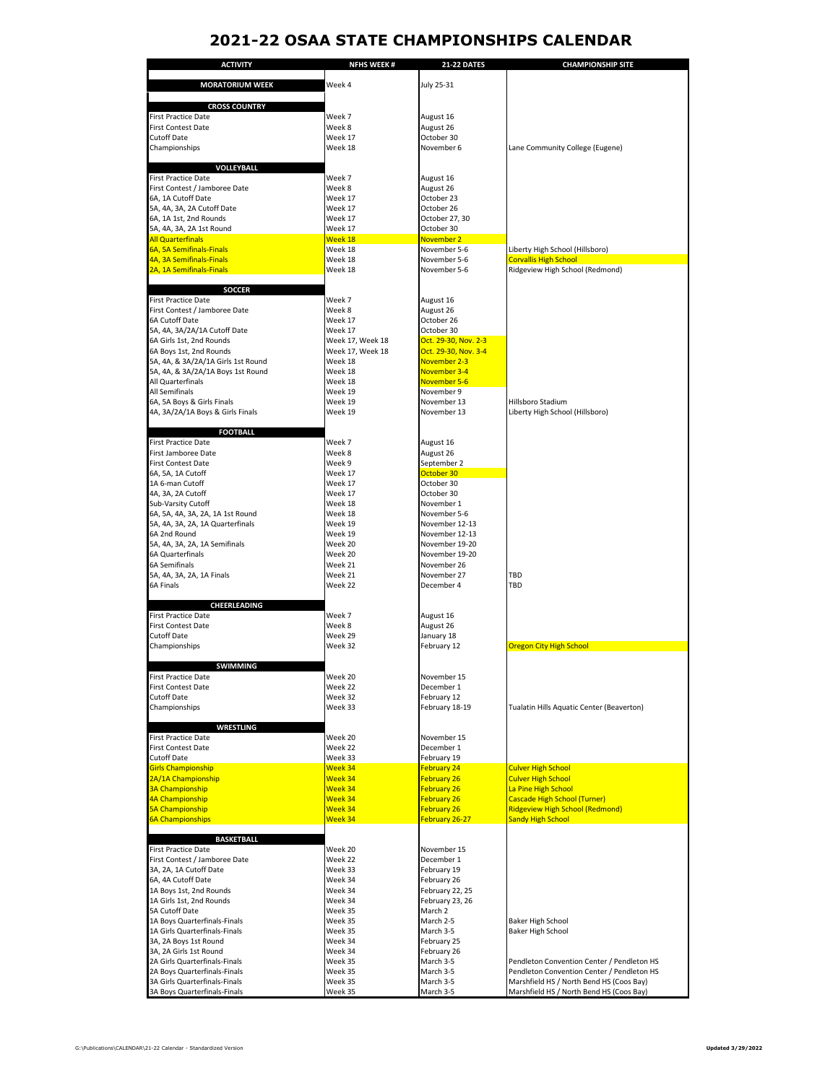## **2021-22 OSAA STATE CHAMPIONSHIPS CALENDAR**

| <b>ACTIVITY</b>                                               | <b>NFHS WEEK#</b>  | <b>21-22 DATES</b>         | <b>CHAMPIONSHIP SITE</b>                             |
|---------------------------------------------------------------|--------------------|----------------------------|------------------------------------------------------|
|                                                               |                    |                            |                                                      |
| <b>MORATORIUM WEEK</b>                                        | Week 4             | July 25-31                 |                                                      |
|                                                               |                    |                            |                                                      |
| <b>CROSS COUNTRY</b><br><b>First Practice Date</b>            | Week 7             | August 16                  |                                                      |
| First Contest Date                                            | Week 8             | August 26                  |                                                      |
| Cutoff Date                                                   | Week 17            | October 30                 |                                                      |
| Championships                                                 | Week 18            | November 6                 | Lane Community College (Eugene)                      |
|                                                               |                    |                            |                                                      |
| VOLLEYBALL                                                    |                    |                            |                                                      |
| <b>First Practice Date</b>                                    | Week 7             | August 16                  |                                                      |
| First Contest / Jamboree Date                                 | Week 8             | August 26                  |                                                      |
| 6A, 1A Cutoff Date<br>5A, 4A, 3A, 2A Cutoff Date              | Week 17<br>Week 17 | October 23<br>October 26   |                                                      |
| 6A, 1A 1st, 2nd Rounds                                        | Week 17            | October 27, 30             |                                                      |
| 5A, 4A, 3A, 2A 1st Round                                      | Week 17            | October 30                 |                                                      |
| All Quarterfinals                                             | Week 18            | November 2                 |                                                      |
| 6A, 5A Semifinals-Finals                                      | Week 18            | November 5-6               | Liberty High School (Hillsboro)                      |
| 4A, 3A Semifinals-Finals                                      | Week 18            | November 5-6               | <b>Corvallis High School</b>                         |
| 2A, 1A Semifinals-Finals                                      | Week 18            | November 5-6               | Ridgeview High School (Redmond)                      |
|                                                               |                    |                            |                                                      |
| <b>SOCCER</b><br><b>First Practice Date</b>                   | Week 7             |                            |                                                      |
| First Contest / Jamboree Date                                 | Week 8             | August 16<br>August 26     |                                                      |
| 6A Cutoff Date                                                | Week 17            | October 26                 |                                                      |
| 5A, 4A, 3A/2A/1A Cutoff Date                                  | Week 17            | October 30                 |                                                      |
| 6A Girls 1st, 2nd Rounds                                      | Week 17, Week 18   | Oct. 29-30, Nov. 2-3       |                                                      |
| 6A Boys 1st, 2nd Rounds                                       | Week 17, Week 18   | Oct. 29-30, Nov. 3-4       |                                                      |
| 5A, 4A, & 3A/2A/1A Girls 1st Round                            | Week 18            | November 2-3               |                                                      |
| 5A, 4A, & 3A/2A/1A Boys 1st Round                             | Week 18            | November 3-4               |                                                      |
| All Quarterfinals<br>All Semifinals                           | Week 18<br>Week 19 | November 5-6<br>November 9 |                                                      |
| 6A, 5A Boys & Girls Finals                                    | Week 19            | November 13                | Hillsboro Stadium                                    |
| 4A, 3A/2A/1A Boys & Girls Finals                              | Week 19            | November 13                | Liberty High School (Hillsboro)                      |
|                                                               |                    |                            |                                                      |
| <b>FOOTBALL</b>                                               |                    |                            |                                                      |
| <b>First Practice Date</b>                                    | Week 7             | August 16                  |                                                      |
| First Jamboree Date                                           | Week 8             | August 26                  |                                                      |
| First Contest Date                                            | Week 9             | September 2                |                                                      |
| 6A, 5A, 1A Cutoff                                             | Week 17            | October 30                 |                                                      |
| 1A 6-man Cutoff<br>4A, 3A, 2A Cutoff                          | Week 17<br>Week 17 | October 30<br>October 30   |                                                      |
| Sub-Varsity Cutoff                                            | Week 18            | November 1                 |                                                      |
| 6A, 5A, 4A, 3A, 2A, 1A 1st Round                              | Week 18            | November 5-6               |                                                      |
| 5A, 4A, 3A, 2A, 1A Quarterfinals                              | Week 19            | November 12-13             |                                                      |
| 6A 2nd Round                                                  | Week 19            | November 12-13             |                                                      |
| 5A, 4A, 3A, 2A, 1A Semifinals                                 | Week 20            | November 19-20             |                                                      |
| 6A Quarterfinals                                              | Week 20            | November 19-20             |                                                      |
| 6A Semifinals                                                 | Week 21            | November 26                |                                                      |
| 5A, 4A, 3A, 2A, 1A Finals<br>6A Finals                        | Week 21<br>Week 22 | November 27<br>December 4  | TBD<br>TBD                                           |
|                                                               |                    |                            |                                                      |
| CHEERLEADING                                                  |                    |                            |                                                      |
| <b>First Practice Date</b>                                    | Week 7             | August 16                  |                                                      |
| First Contest Date                                            | Week 8             | August 26                  |                                                      |
| <b>Cutoff Date</b>                                            | Week 29            | January 18                 |                                                      |
| Championships                                                 | Week 32            | February 12                | Oregon City High School                              |
|                                                               |                    |                            |                                                      |
| <b>SWIMMING</b><br>First Practice Date                        | Week 20            | November 15                |                                                      |
| First Contest Date                                            | Week 22            | December 1                 |                                                      |
| Cutoff Date                                                   | Week 32            | February 12                |                                                      |
| Championships                                                 | Week 33            | February 18-19             | Tualatin Hills Aquatic Center (Beaverton)            |
|                                                               |                    |                            |                                                      |
| <b>WRESTLING</b>                                              |                    |                            |                                                      |
| First Practice Date                                           | Week 20            | November 15                |                                                      |
| First Contest Date<br><b>Cutoff Date</b>                      | Week 22<br>Week 33 | December 1<br>February 19  |                                                      |
| <b>Girls Championship</b>                                     | Week 34            | <b>February 24</b>         | <b>Culver High School</b>                            |
| 2A/1A Championship                                            | Week 34            | <b>February 26</b>         | <b>Culver High School</b>                            |
| 3A Championship                                               | Week 34            | February 26                | La Pine High School                                  |
| 4A Championship                                               | Week 34            | <b>February 26</b>         | <b>Cascade High School (Turner)</b>                  |
| 5A Championship                                               | Week 34            | <b>February 26</b>         | <b>Ridgeview High School (Redmond)</b>               |
| <b>6A Championships</b>                                       | Week 34            | February 26-27             | <b>Sandy High School</b>                             |
| <b>BASKETBALL</b>                                             |                    |                            |                                                      |
| <b>First Practice Date</b>                                    | Week 20            | November 15                |                                                      |
| First Contest / Jamboree Date                                 | Week 22            | December 1                 |                                                      |
| 3A, 2A, 1A Cutoff Date                                        | Week 33            | February 19                |                                                      |
| 6A, 4A Cutoff Date                                            | Week 34            | February 26                |                                                      |
| 1A Boys 1st, 2nd Rounds                                       | Week 34            | February 22, 25            |                                                      |
| 1A Girls 1st, 2nd Rounds                                      | Week 34            | February 23, 26            |                                                      |
| 5A Cutoff Date                                                | Week 35            | March 2                    |                                                      |
| 1A Boys Quarterfinals-Finals<br>1A Girls Quarterfinals-Finals | Week 35<br>Week 35 | March 2-5<br>March 3-5     | <b>Baker High School</b><br><b>Baker High School</b> |
| 3A, 2A Boys 1st Round                                         | Week 34            | February 25                |                                                      |
| 3A, 2A Girls 1st Round                                        | Week 34            | February 26                |                                                      |
| 2A Girls Quarterfinals-Finals                                 | Week 35            | March 3-5                  | Pendleton Convention Center / Pendleton HS           |
| 2A Boys Quarterfinals-Finals                                  | Week 35            | March 3-5                  | Pendleton Convention Center / Pendleton HS           |
| 3A Girls Quarterfinals-Finals                                 | Week 35            | March 3-5                  | Marshfield HS / North Bend HS (Coos Bay)             |
| 3A Boys Quarterfinals-Finals                                  | Week 35            | March 3-5                  | Marshfield HS / North Bend HS (Coos Bay)             |